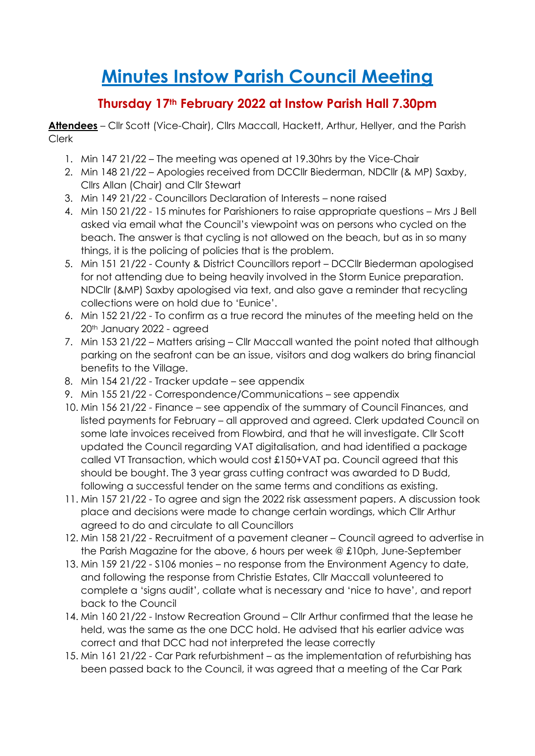# **Minutes Instow Parish Council Meeting**

## **Thursday 17th February 2022 at Instow Parish Hall 7.30pm**

**Attendees** – Cllr Scott (Vice-Chair), Cllrs Maccall, Hackett, Arthur, Hellyer, and the Parish Clerk

- 1. Min 147 21/22 The meeting was opened at 19.30hrs by the Vice-Chair
- 2. Min 148 21/22 Apologies received from DCCllr Biederman, NDCllr (& MP) Saxby, Cllrs Allan (Chair) and Cllr Stewart
- 3. Min 149 21/22 Councillors Declaration of Interests none raised
- 4. Min 150 21/22 15 minutes for Parishioners to raise appropriate questions Mrs J Bell asked via email what the Council's viewpoint was on persons who cycled on the beach. The answer is that cycling is not allowed on the beach, but as in so many things, it is the policing of policies that is the problem.
- 5. Min 151 21/22 County & District Councillors report DCCllr Biederman apologised for not attending due to being heavily involved in the Storm Eunice preparation. NDCllr (&MP) Saxby apologised via text, and also gave a reminder that recycling collections were on hold due to 'Eunice'.
- 6. Min 152 21/22 To confirm as a true record the minutes of the meeting held on the 20th January 2022 - agreed
- 7. Min 153 21/22 Matters arising Cllr Maccall wanted the point noted that although parking on the seafront can be an issue, visitors and dog walkers do bring financial benefits to the Village.
- 8. Min 154 21/22 Tracker update see appendix
- 9. Min 155 21/22 Correspondence/Communications see appendix
- 10. Min 156 21/22 Finance see appendix of the summary of Council Finances, and listed payments for February – all approved and agreed. Clerk updated Council on some late invoices received from Flowbird, and that he will investigate. Cllr Scott updated the Council regarding VAT digitalisation, and had identified a package called VT Transaction, which would cost £150+VAT pa. Council agreed that this should be bought. The 3 year grass cutting contract was awarded to D Budd, following a successful tender on the same terms and conditions as existing.
- 11. Min 157 21/22 To agree and sign the 2022 risk assessment papers. A discussion took place and decisions were made to change certain wordings, which Cllr Arthur agreed to do and circulate to all Councillors
- 12. Min 158 21/22 Recruitment of a pavement cleaner Council agreed to advertise in the Parish Magazine for the above, 6 hours per week @ £10ph, June-September
- 13. Min 159 21/22 S106 monies no response from the Environment Agency to date, and following the response from Christie Estates, Cllr Maccall volunteered to complete a 'signs audit', collate what is necessary and 'nice to have', and report back to the Council
- 14. Min 160 21/22 Instow Recreation Ground Cllr Arthur confirmed that the lease he held, was the same as the one DCC hold. He advised that his earlier advice was correct and that DCC had not interpreted the lease correctly
- 15. Min 161 21/22 Car Park refurbishment as the implementation of refurbishing has been passed back to the Council, it was agreed that a meeting of the Car Park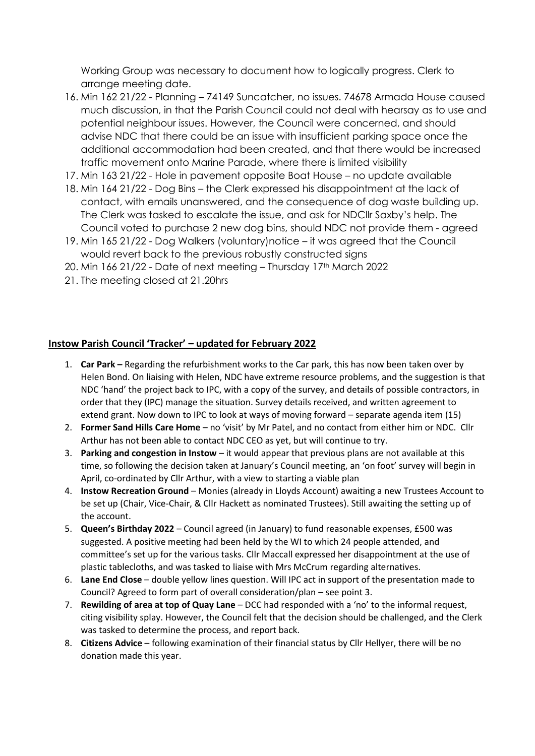Working Group was necessary to document how to logically progress. Clerk to arrange meeting date.

- 16. Min 162 21/22 Planning 74149 Suncatcher, no issues. 74678 Armada House caused much discussion, in that the Parish Council could not deal with hearsay as to use and potential neighbour issues. However, the Council were concerned, and should advise NDC that there could be an issue with insufficient parking space once the additional accommodation had been created, and that there would be increased traffic movement onto Marine Parade, where there is limited visibility
- 17. Min 163 21/22 Hole in pavement opposite Boat House no update available
- 18. Min 164 21/22 Dog Bins the Clerk expressed his disappointment at the lack of contact, with emails unanswered, and the consequence of dog waste building up. The Clerk was tasked to escalate the issue, and ask for NDCllr Saxby's help. The Council voted to purchase 2 new dog bins, should NDC not provide them - agreed
- 19. Min 165 21/22 Dog Walkers (voluntary)notice it was agreed that the Council would revert back to the previous robustly constructed signs
- 20. Min  $166$  21/22 Date of next meeting Thursday 17<sup>th</sup> March 2022
- 21. The meeting closed at 21.20hrs

#### **Instow Parish Council 'Tracker' – updated for February 2022**

- 1. **Car Park –** Regarding the refurbishment works to the Car park, this has now been taken over by Helen Bond. On liaising with Helen, NDC have extreme resource problems, and the suggestion is that NDC 'hand' the project back to IPC, with a copy of the survey, and details of possible contractors, in order that they (IPC) manage the situation. Survey details received, and written agreement to extend grant. Now down to IPC to look at ways of moving forward – separate agenda item (15)
- 2. **Former Sand Hills Care Home** no 'visit' by Mr Patel, and no contact from either him or NDC. Cllr Arthur has not been able to contact NDC CEO as yet, but will continue to try.
- 3. **Parking and congestion in Instow**  it would appear that previous plans are not available at this time, so following the decision taken at January's Council meeting, an 'on foot' survey will begin in April, co-ordinated by Cllr Arthur, with a view to starting a viable plan
- 4. **Instow Recreation Ground**  Monies (already in Lloyds Account) awaiting a new Trustees Account to be set up (Chair, Vice-Chair, & Cllr Hackett as nominated Trustees). Still awaiting the setting up of the account.
- 5. **Queen's Birthday 2022** Council agreed (in January) to fund reasonable expenses, £500 was suggested. A positive meeting had been held by the WI to which 24 people attended, and committee's set up for the various tasks. Cllr Maccall expressed her disappointment at the use of plastic tablecloths, and was tasked to liaise with Mrs McCrum regarding alternatives.
- 6. **Lane End Close**  double yellow lines question. Will IPC act in support of the presentation made to Council? Agreed to form part of overall consideration/plan – see point 3.
- 7. **Rewilding of area at top of Quay Lane**  DCC had responded with a 'no' to the informal request, citing visibility splay. However, the Council felt that the decision should be challenged, and the Clerk was tasked to determine the process, and report back.
- 8. **Citizens Advice**  following examination of their financial status by Cllr Hellyer, there will be no donation made this year.